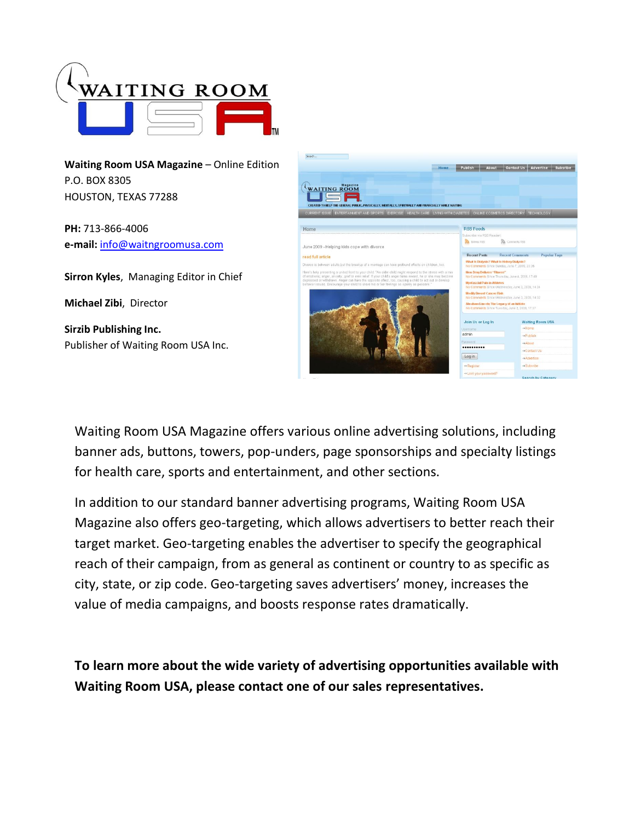

**Waiting Room USA Magazine** – Online Edition P.O. BOX 8305 HOUSTON, TEXAS 77288

**PH:** 713-866-4006 **e-mail:** [info@waitngroomusa.com](mailto:info@waitngroomusa.com)

**Sirron Kyles**, Managing Editor in Chief

**Michael Zibi**, Director

**Sirzib Publishing Inc.** Publisher of Waiting Room USA Inc.



Waiting Room USA Magazine offers various online advertising solutions, including banner ads, buttons, towers, pop-unders, page sponsorships and specialty listings for health care, sports and entertainment, and other sections.

In addition to our standard banner advertising programs, Waiting Room USA Magazine also offers geo-targeting, which allows advertisers to better reach their target market. Geo-targeting enables the advertiser to specify the geographical reach of their campaign, from as general as continent or country to as specific as city, state, or zip code. Geo-targeting saves advertisers' money, increases the value of media campaigns, and boosts response rates dramatically.

**To learn more about the wide variety of advertising opportunities available with Waiting Room USA, please contact one of our sales representatives.**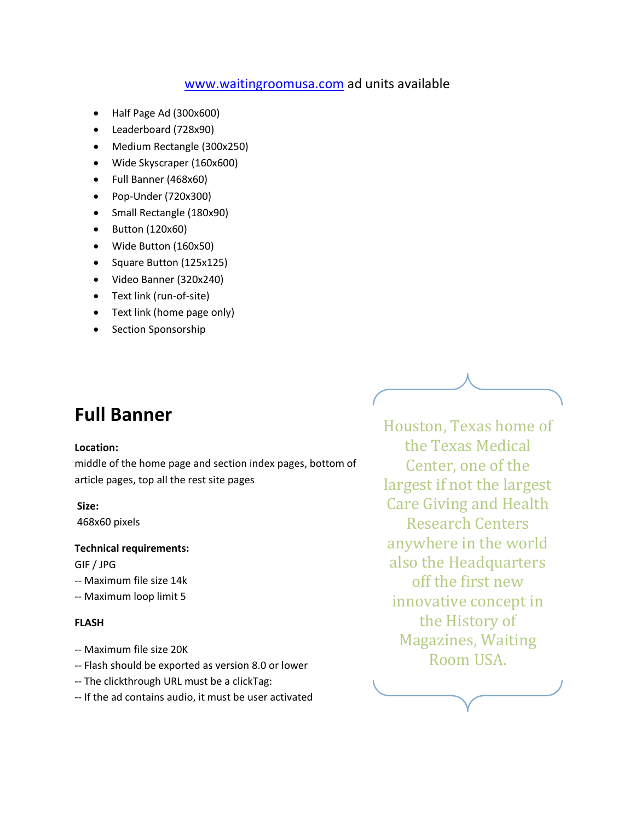## [www.waitingroomusa.com](http://www.waitingroomusa.com/) ad units available

- Half Page Ad (300x600)
- Leaderboard (728x90)
- Medium Rectangle (300x250)
- Wide Skyscraper (160x600)
- Full Banner (468x60)
- Pop-Under (720x300)
- Small Rectangle (180x90)
- Button (120x60)
- Wide Button (160x50)
- Square Button (125x125)
- Video Banner (320x240)
- Text link (run-of-site)
- Text link (home page only)
- Section Sponsorship

# **Full Banner**

#### **Location:**

middle of the home page and section index pages, bottom of article pages, top all the rest site pages

### **Size:**

468x60 pixels

#### **Technical requirements:**

GIF / JPG

- -- Maximum file size 14k
- -- Maximum loop limit 5

### **FLASH**

- -- Maximum file size 20K
- -- Flash should be exported as version 8.0 or lower
- -- The clickthrough URL must be a clickTag:
- -- If the ad contains audio, it must be user activated

Houston, Texas home of the Texas Medical Center, one of the largest if not the largest Care Giving and Health Research Centers anywhere in the world also the Headquarters off the first new innovative concept in the History of Magazines, Waiting Room USA.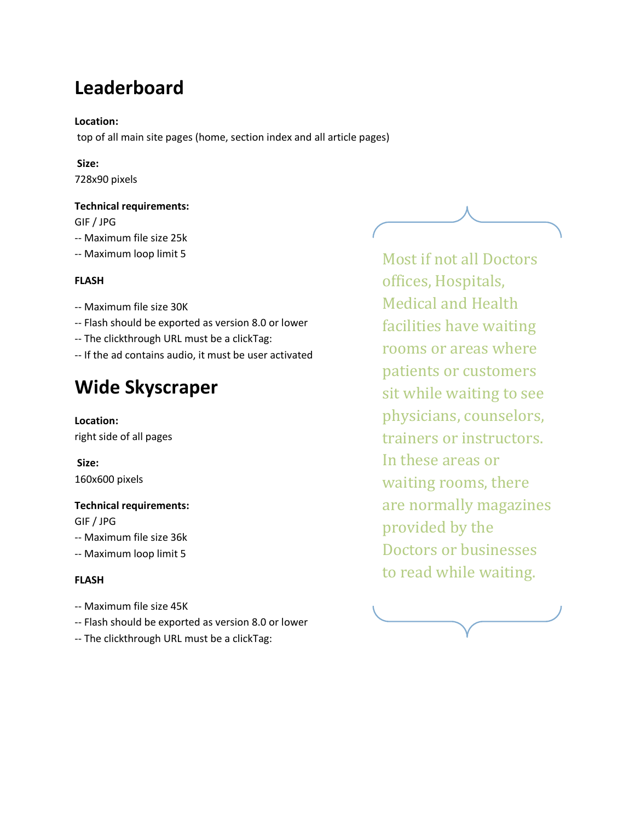# **Leaderboard**

### **Location:**

top of all main site pages (home, section index and all article pages)

### **Size:**

728x90 pixels

### **Technical requirements:**

GIF / JPG

- -- Maximum file size 25k
- -- Maximum loop limit 5

#### **FLASH**

- -- Maximum file size 30K
- -- Flash should be exported as version 8.0 or lower
- -- The clickthrough URL must be a clickTag:
- -- If the ad contains audio, it must be user activated

# **Wide Skyscraper**

**Location:**  right side of all pages

**Size:** 160x600 pixels

#### **Technical requirements:**

GIF / JPG

- -- Maximum file size 36k
- -- Maximum loop limit 5

#### **FLASH**

- -- Maximum file size 45K
- -- Flash should be exported as version 8.0 or lower
- -- The clickthrough URL must be a clickTag:

Most if not all Doctors offices, Hospitals, Medical and Health facilities have waiting rooms or areas where patients or customers sit while waiting to see physicians, counselors, trainers or instructors. In these areas or waiting rooms, there are normally magazines provided by the Doctors or businesses to read while waiting.

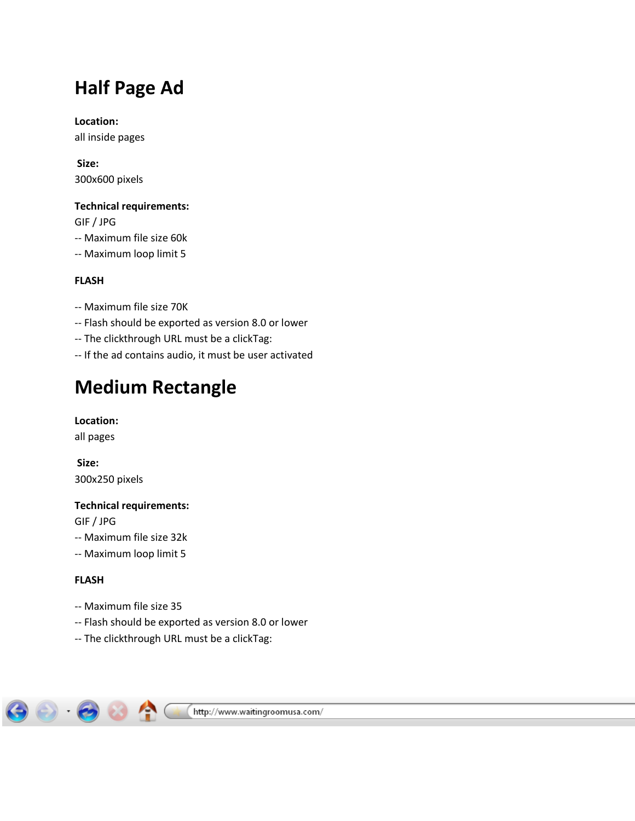# **Half Page Ad**

**Location:**  all inside pages

**Size:** 300x600 pixels

### **Technical requirements:**

GIF / JPG

- -- Maximum file size 60k
- -- Maximum loop limit 5

## **FLASH**

- -- Maximum file size 70K
- -- Flash should be exported as version 8.0 or lower
- -- The clickthrough URL must be a clickTag:
- -- If the ad contains audio, it must be user activated

# **Medium Rectangle**

**Location:** 

all pages

**Size:** 300x250 pixels

## **Technical requirements:**

GIF / JPG

- -- Maximum file size 32k
- -- Maximum loop limit 5

## **FLASH**

- -- Maximum file size 35
- -- Flash should be exported as version 8.0 or lower
- -- The clickthrough URL must be a clickTag:

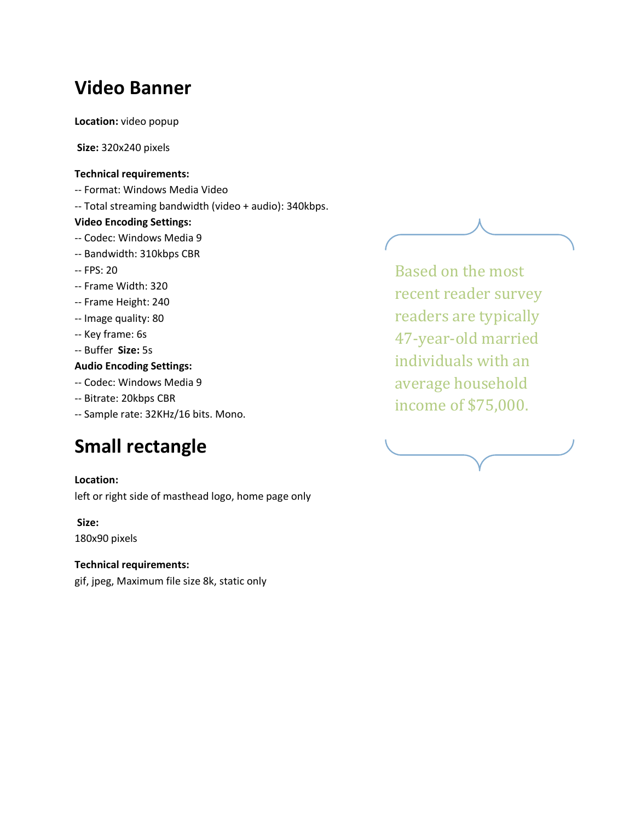# **Video Banner**

**Location:** video popup

**Size:** 320x240 pixels

#### **Technical requirements:**

- -- Format: Windows Media Video
- -- Total streaming bandwidth (video + audio): 340kbps.

### **Video Encoding Settings:**

- -- Codec: Windows Media 9
- -- Bandwidth: 310kbps CBR
- -- FPS: 20
- -- Frame Width: 320
- -- Frame Height: 240
- -- Image quality: 80
- -- Key frame: 6s
- -- Buffer **Size:** 5s

## **Audio Encoding Settings:**

- -- Codec: Windows Media 9
- -- Bitrate: 20kbps CBR
- -- Sample rate: 32KHz/16 bits. Mono.

# **Small rectangle**

### **Location:**

left or right side of masthead logo, home page only

**Size:**

180x90 pixels

### **Technical requirements:**

gif, jpeg, Maximum file size 8k, static only

Based on the most recent reader survey readers are typically 47-year-old married individuals with an average household income of \$75,000.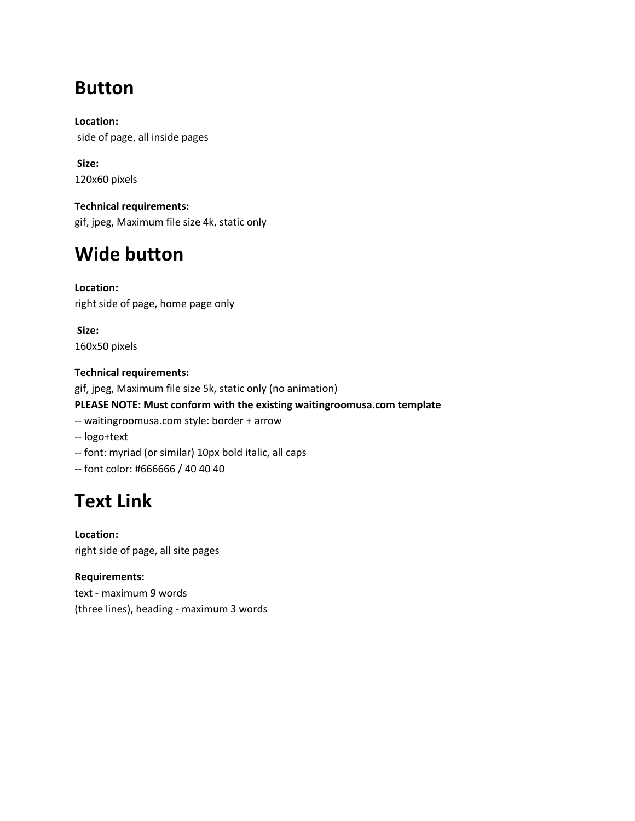# **Button**

**Location:** side of page, all inside pages

**Size:** 120x60 pixels

**Technical requirements:** gif, jpeg, Maximum file size 4k, static only

# **Wide button**

**Location:**  right side of page, home page only

**Size:** 160x50 pixels

### **Technical requirements:**

gif, jpeg, Maximum file size 5k, static only (no animation)

### **PLEASE NOTE: Must conform with the existing waitingroomusa.com template**

- -- waitingroomusa.com style: border + arrow
- -- logo+text
- -- font: myriad (or similar) 10px bold italic, all caps
- -- font color: #666666 / 40 40 40

# **Text Link**

**Location:**  right side of page, all site pages

**Requirements:** text - maximum 9 words (three lines), heading - maximum 3 words